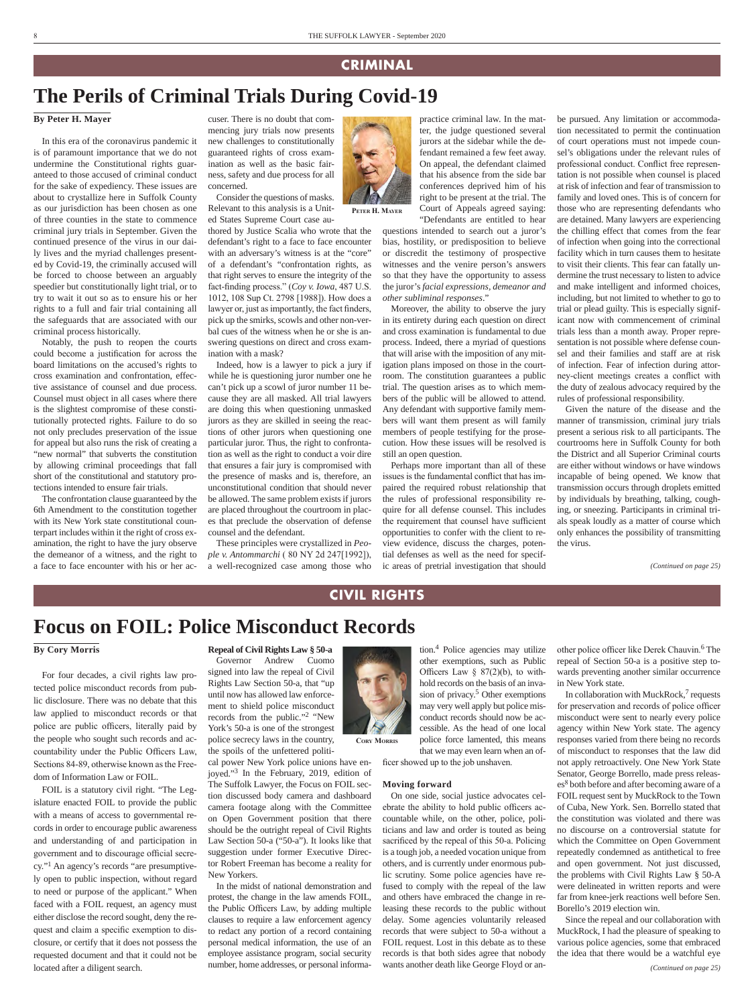### **CRIMINAL**

### **The Perils of Criminal Trials During Covid-19**

#### **By Peter H. Mayer**

In this era of the coronavirus pandemic it is of paramount importance that we do not undermine the Constitutional rights guaranteed to those accused of criminal conduct for the sake of expediency. These issues are about to crystallize here in Suffolk County as our jurisdiction has been chosen as one of three counties in the state to commence criminal jury trials in September. Given the continued presence of the virus in our daily lives and the myriad challenges presented by Covid-19, the criminally accused will be forced to choose between an arguably speedier but constitutionally light trial, or to try to wait it out so as to ensure his or her rights to a full and fair trial containing all the safeguards that are associated with our criminal process historically.

Notably, the push to reopen the courts could become a justification for across the board limitations on the accused's rights to cross examination and confrontation, effective assistance of counsel and due process. Counsel must object in all cases where there is the slightest compromise of these constitutionally protected rights. Failure to do so not only precludes preservation of the issue for appeal but also runs the risk of creating a "new normal" that subverts the constitution by allowing criminal proceedings that fall short of the constitutional and statutory protections intended to ensure fair trials.

The confrontation clause guaranteed by the 6th Amendment to the constitution together with its New York state constitutional counterpart includes within it the right of cross examination, the right to have the jury observe the demeanor of a witness, and the right to a face to face encounter with his or her ac-

cuser. There is no doubt that commencing jury trials now presents new challenges to constitutionally guaranteed rights of cross examination as well as the basic fairness, safety and due process for all concerned.

Consider the questions of masks. Relevant to this analysis is a United States Supreme Court case au-

thored by Justice Scalia who wrote that the defendant's right to a face to face encounter with an adversary's witness is at the "core" of a defendant's "confrontation rights, as that right serves to ensure the integrity of the fact-finding process." (*Coy v. Iowa*, 487 U.S. 1012, 108 Sup Ct. 2798 [1988]). How does a lawyer or, just as importantly, the fact finders, pick up the smirks, scowls and other non-verbal cues of the witness when he or she is answering questions on direct and cross examination with a mask?

Indeed, how is a lawyer to pick a jury if while he is questioning juror number one he can't pick up a scowl of juror number 11 because they are all masked. All trial lawyers are doing this when questioning unmasked jurors as they are skilled in seeing the reactions of other jurors when questioning one particular juror. Thus, the right to confrontation as well as the right to conduct a voir dire that ensures a fair jury is compromised with the presence of masks and is, therefore, an unconstitutional condition that should never be allowed. The same problem exists if jurors are placed throughout the courtroom in places that preclude the observation of defense counsel and the defendant.

These principles were crystallized in *People v. Antommarchi* ( 80 NY 2d 247[1992]), a well-recognized case among those who



**Peter H. Mayer**

conferences deprived him of his right to be present at the trial. The Court of Appeals agreed saying: "Defendants are entitled to hear questions intended to search out a juror's bias, hostility, or predisposition to believe or discredit the testimony of prospective witnesses and the venire person's answers so that they have the opportunity to assess

the juror's *facial expressions, demeanor and* 

practice criminal law. In the matter, the judge questioned several jurors at the sidebar while the defendant remained a few feet away. On appeal, the defendant claimed that his absence from the side bar

*other subliminal responses*." Moreover, the ability to observe the jury in its entirety during each question on direct and cross examination is fundamental to due process. Indeed, there a myriad of questions that will arise with the imposition of any mitigation plans imposed on those in the courtroom. The constitution guarantees a public trial. The question arises as to which members of the public will be allowed to attend. Any defendant with supportive family members will want them present as will family members of people testifying for the prosecution. How these issues will be resolved is still an open question.

Perhaps more important than all of these issues is the fundamental conflict that has impaired the required robust relationship that the rules of professional responsibility require for all defense counsel. This includes the requirement that counsel have sufficient opportunities to confer with the client to review evidence, discuss the charges, potential defenses as well as the need for specific areas of pretrial investigation that should

be pursued. Any limitation or accommodation necessitated to permit the continuation of court operations must not impede counsel's obligations under the relevant rules of professional conduct. Conflict free representation is not possible when counsel is placed at risk of infection and fear of transmission to family and loved ones. This is of concern for those who are representing defendants who are detained. Many lawyers are experiencing the chilling effect that comes from the fear of infection when going into the correctional facility which in turn causes them to hesitate to visit their clients. This fear can fatally undermine the trust necessary to listen to advice and make intelligent and informed choices, including, but not limited to whether to go to trial or plead guilty. This is especially significant now with commencement of criminal trials less than a month away. Proper representation is not possible where defense counsel and their families and staff are at risk of infection. Fear of infection during attorney-client meetings creates a conflict with the duty of zealous advocacy required by the rules of professional responsibility.

Given the nature of the disease and the manner of transmission, criminal jury trials present a serious risk to all participants. The courtrooms here in Suffolk County for both the District and all Superior Criminal courts are either without windows or have windows incapable of being opened. We know that transmission occurs through droplets emitted by individuals by breathing, talking, coughing, or sneezing. Participants in criminal trials speak loudly as a matter of course which only enhances the possibility of transmitting the virus.

*(Continued on page 25)*

### **CIVIL RIGHTS**

**Cory Morris**

# **Focus on FOIL: Police Misconduct Records**

### **By Cory Morris**

For four decades, a civil rights law protected police misconduct records from public disclosure. There was no debate that this law applied to misconduct records or that police are public officers, literally paid by the people who sought such records and accountability under the Public Officers Law, Sections 84-89, otherwise known as the Freedom of Information Law or FOIL.

FOIL is a statutory civil right. "The Legislature enacted FOIL to provide the public with a means of access to governmental records in order to encourage public awareness and understanding of and participation in government and to discourage official secrecy."1 An agency's records "are presumptively open to public inspection, without regard to need or purpose of the applicant." When faced with a FOIL request, an agency must either disclose the record sought, deny the request and claim a specific exemption to disclosure, or certify that it does not possess the requested document and that it could not be located after a diligent search.

**Repeal of Civil Rights Law § 50-a**

Governor Andrew Cuomo signed into law the repeal of Civil Rights Law Section 50-a, that "up until now has allowed law enforcement to shield police misconduct records from the public."2 "New York's 50-a is one of the strongest police secrecy laws in the country, the spoils of the unfettered politi-

cal power New York police unions have enjoyed."3 In the February, 2019, edition of The Suffolk Lawyer, the Focus on FOIL section discussed body camera and dashboard camera footage along with the Committee on Open Government position that there should be the outright repeal of Civil Rights Law Section 50-a ("50-a"). It looks like that suggestion under former Executive Director Robert Freeman has become a reality for New Yorkers.

In the midst of national demonstration and protest, the change in the law amends FOIL, the Public Officers Law, by adding multiple clauses to require a law enforcement agency to redact any portion of a record containing personal medical information, the use of an employee assistance program, social security number, home addresses, or personal informa-

tion.4 Police agencies may utilize other exemptions, such as Public Officers Law  $\S$  87(2)(b), to withhold records on the basis of an invasion of privacy.<sup>5</sup> Other exemptions may very well apply but police misconduct records should now be accessible. As the head of one local police force lamented, this means that we may even learn when an of-

ficer showed up to the job unshaven.

#### **Moving forward**

On one side, social justice advocates celebrate the ability to hold public officers accountable while, on the other, police, politicians and law and order is touted as being sacrificed by the repeal of this 50-a. Policing is a tough job, a needed vocation unique from others, and is currently under enormous public scrutiny. Some police agencies have refused to comply with the repeal of the law and others have embraced the change in releasing these records to the public without delay. Some agencies voluntarily released records that were subject to 50-a without a FOIL request. Lost in this debate as to these records is that both sides agree that nobody wants another death like George Floyd or an-

other police officer like Derek Chauvin.6 The repeal of Section 50-a is a positive step towards preventing another similar occurrence in New York state.

In collaboration with MuckRock, $<sup>7</sup>$  requests</sup> for preservation and records of police officer misconduct were sent to nearly every police agency within New York state. The agency responses varied from there being no records of misconduct to responses that the law did not apply retroactively. One New York State Senator, George Borrello, made press releases8 both before and after becoming aware of a FOIL request sent by MuckRock to the Town of Cuba, New York. Sen. Borrello stated that the constitution was violated and there was no discourse on a controversial statute for which the Committee on Open Government repeatedly condemned as antithetical to free and open government. Not just discussed, the problems with Civil Rights Law § 50-A were delineated in written reports and were far from knee-jerk reactions well before Sen. Borello's 2019 election win.

Since the repeal and our collaboration with MuckRock, I had the pleasure of speaking to various police agencies, some that embraced the idea that there would be a watchful eye